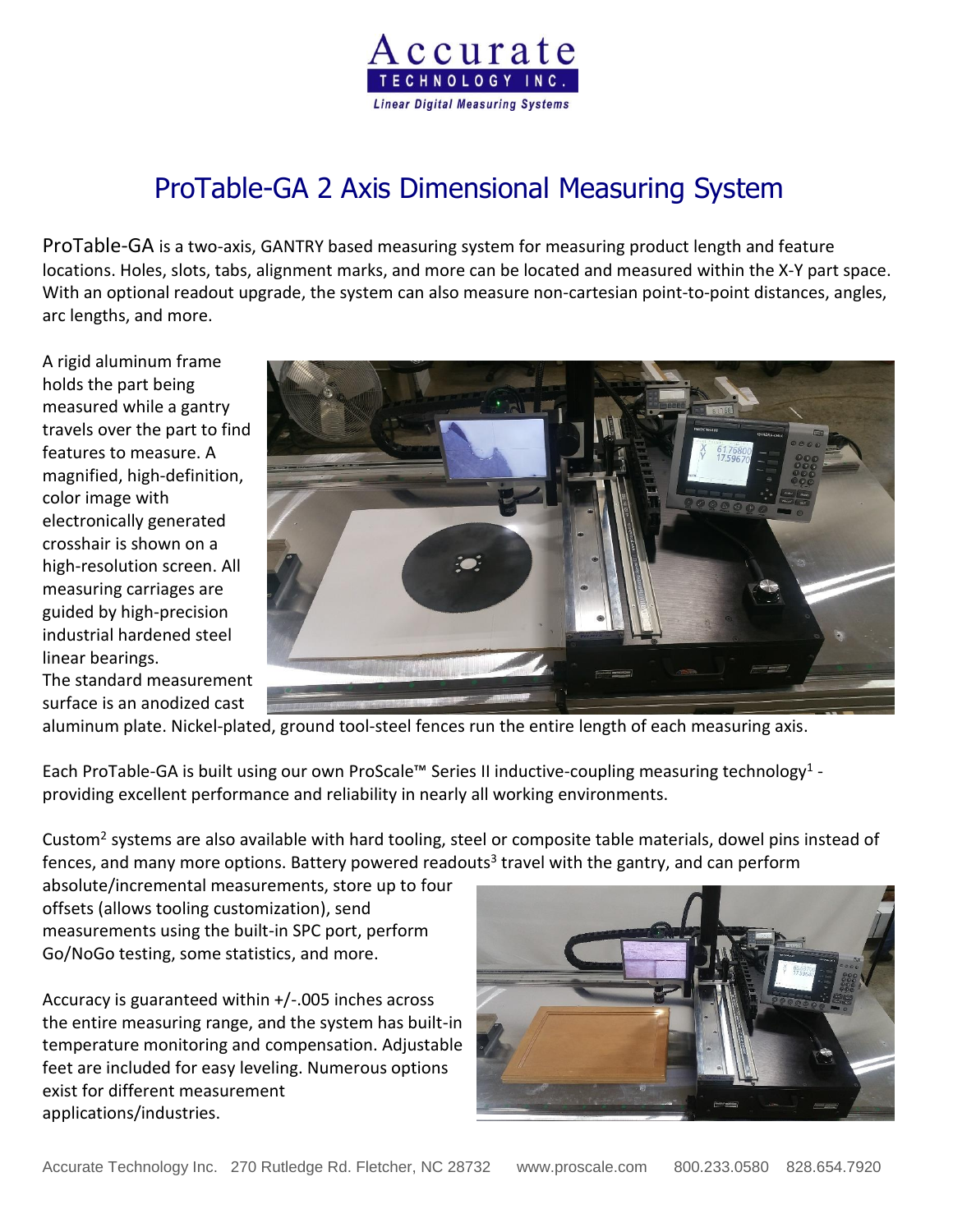

# ProTable-GA 2 Axis Dimensional Measuring System

ProTable-GA is a two-axis, GANTRY based measuring system for measuring product length and feature locations. Holes, slots, tabs, alignment marks, and more can be located and measured within the X-Y part space. With an optional readout upgrade, the system can also measure non-cartesian point-to-point distances, angles, arc lengths, and more.

A rigid aluminum frame holds the part being measured while a gantry travels over the part to find features to measure. A magnified, high-definition, color image with electronically generated crosshair is shown on a high-resolution screen. All measuring carriages are guided by high-precision industrial hardened steel linear bearings.

The standard measurement surface is an anodized cast



aluminum plate. Nickel-plated, ground tool-steel fences run the entire length of each measuring axis.

Each ProTable-GA is built using our own ProScale™ Series II inductive-coupling measuring technology<sup>1</sup> providing excellent performance and reliability in nearly all working environments.

Custom<sup>2</sup> systems are also available with hard tooling, steel or composite table materials, dowel pins instead of fences, and many more options. Battery powered readouts<sup>3</sup> travel with the gantry, and can perform

absolute/incremental measurements, store up to four offsets (allows tooling customization), send measurements using the built-in SPC port, perform Go/NoGo testing, some statistics, and more.

Accuracy is guaranteed within +/-.005 inches across the entire measuring range, and the system has built-in temperature monitoring and compensation. Adjustable feet are included for easy leveling. Numerous options exist for different measurement applications/industries.